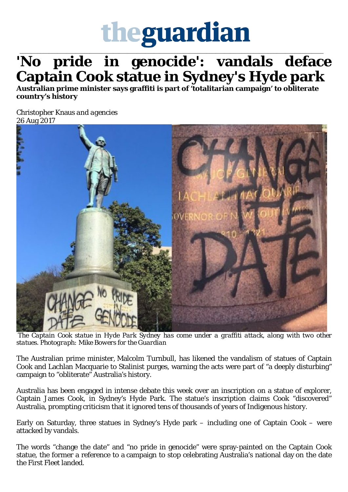

## \_\_\_\_\_\_\_\_\_\_\_\_\_\_\_\_\_\_\_\_\_\_\_\_\_\_\_\_\_\_\_\_\_\_\_\_\_\_\_\_\_\_\_\_\_\_\_\_\_\_\_\_\_\_\_\_\_\_\_\_\_\_\_\_\_\_\_\_\_\_\_\_\_\_\_\_\_\_\_\_\_\_\_\_\_\_\_\_\_\_\_\_\_\_\_\_\_\_\_\_\_\_\_\_ **'No pride in genocide': vandals deface Captain Cook statue in Sydney's Hyde park**

**Australian prime minister says graffiti is part of 'totalitarian campaign' to obliterate country's history**

Christopher Knaus *and agencies* [26 Aug 2017](https://www.theguardian.com/australia-news/2017/aug/26/captain-cook-statue-and-two-others-in-sydneys-hyde-park-attacked-by-vandals#img-1)



*The Captain Cook statue in Hyde Park Sydney has come under a graffiti attack, along with two other statues. Photograph: Mike Bowers for the Guardian*

The Australian prime minister, Malcolm Turnbull, has likened the vandalism of statues of Captain Cook and Lachlan Macquarie to Stalinist purges, warning the acts were part of "a deeply disturbing" campaign to "obliterate" Australia's history.

Australia has been engaged in intense debate this week over an inscription on a statue of explorer, Captain James Cook, in Sydney's Hyde Park. The statue's inscription claims Cook "discovered" Australia, prompting criticism that it ignored tens of thousands of years of Indigenous history.

Early on Saturday, three statues in Sydney's Hyde park – including one of Captain Cook – were attacked by vandals.

The words "change the date" and "no pride in genocide" were spray-painted on the Captain Cook statue, the former a reference to a campaign to stop celebrating Australia's national day on the date the First Fleet landed.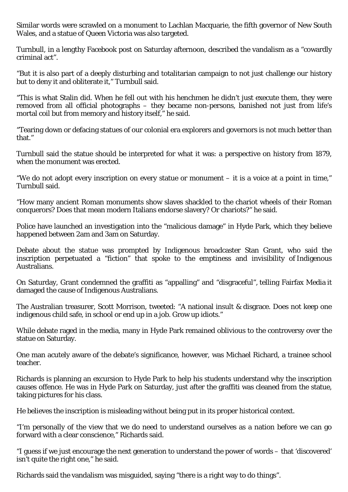Similar words were scrawled on a monument to Lachlan Macquarie, the fifth governor of New South 2 Wales, and a statue of Queen Victoria was also targeted.

Turnbull, in a lengthy Facebook post on Saturday afternoon, described the vandalism as a "cowardly criminal act".

"But it is also part of a deeply disturbing and totalitarian campaign to not just challenge our history but to deny it and obliterate it," Turnbull said.

"This is what Stalin did. When he fell out with his henchmen he didn't just execute them, they were removed from all official photographs – they became non-persons, banished not just from life's mortal coil but from memory and history itself," he said.

"Tearing down or defacing statues of our colonial era explorers and governors is not much better than that."

Turnbull said the statue should be interpreted for what it was: a perspective on history from 1879, when the monument was erected.

"We do not adopt every inscription on every statue or monument – it is a voice at a point in time," Turnbull said.

"How many ancient Roman monuments show slaves shackled to the chariot wheels of their Roman conquerors? Does that mean modern Italians endorse slavery? Or chariots?" he said.

Police have launched an investigation into the "malicious damage" in Hyde Park, which they believe happened between 2am and 3am on Saturday.

Debate about the statue was prompted by Indigenous broadcaster Stan Grant, who said the inscription perpetuated a "fiction" that spoke to the emptiness and invisibility of Indigenous Australians.

On Saturday, Grant condemned the graffiti as "appalling" and "disgraceful", telling Fairfax Media it damaged the cause of Indigenous Australians.

The Australian treasurer, Scott Morrison, tweeted: "A national insult & disgrace. Does not keep one indigenous child safe, in school or end up in a job. Grow up idiots."

While debate raged in the media, many in Hyde Park remained oblivious to the controversy over the statue on Saturday.

One man acutely aware of the debate's significance, however, was Michael Richard, a trainee school teacher.

Richards is planning an excursion to Hyde Park to help his students understand why the inscription causes offence. He was in Hyde Park on Saturday, just after the graffiti was cleaned from the statue, taking pictures for his class.

He believes the inscription is misleading without being put in its proper historical context.

"I'm personally of the view that we do need to understand ourselves as a nation before we can go forward with a clear conscience," Richards said.

"I guess if we just encourage the next generation to understand the power of words – that 'discovered' isn't quite the right one," he said.

Richards said the vandalism was misguided, saying "there is a right way to do things".